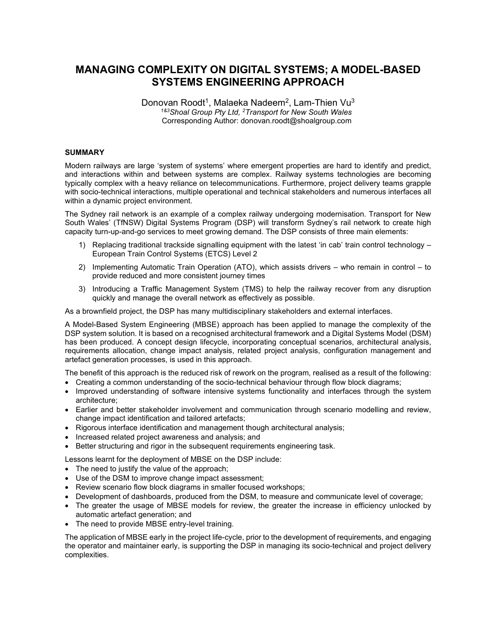# **MANAGING COMPLEXITY ON DIGITAL SYSTEMS; A MODEL-BASED SYSTEMS ENGINEERING APPROACH**

Donovan Roodt<sup>1</sup>, Malaeka Nadeem<sup>2</sup>, Lam-Thien Vu<sup>3</sup> *1&3Shoal Group Pty Ltd, <sup>2</sup>Transport for New South Wales*  Corresponding Author: donovan.roodt@shoalgroup.com

### **SUMMARY**

Modern railways are large 'system of systems' where emergent properties are hard to identify and predict, and interactions within and between systems are complex. Railway systems technologies are becoming typically complex with a heavy reliance on telecommunications. Furthermore, project delivery teams grapple with socio-technical interactions, multiple operational and technical stakeholders and numerous interfaces all within a dynamic project environment.

The Sydney rail network is an example of a complex railway undergoing modernisation. Transport for New South Wales' (TfNSW) Digital Systems Program (DSP) will transform Sydney's rail network to create high capacity turn-up-and-go services to meet growing demand. The DSP consists of three main elements:

- 1) Replacing traditional trackside signalling equipment with the latest 'in cab' train control technology European Train Control Systems (ETCS) Level 2
- 2) Implementing Automatic Train Operation (ATO), which assists drivers who remain in control to provide reduced and more consistent journey times
- 3) Introducing a Traffic Management System (TMS) to help the railway recover from any disruption quickly and manage the overall network as effectively as possible.

As a brownfield project, the DSP has many multidisciplinary stakeholders and external interfaces.

A Model-Based System Engineering (MBSE) approach has been applied to manage the complexity of the DSP system solution. It is based on a recognised architectural framework and a Digital Systems Model (DSM) has been produced. A concept design lifecycle, incorporating conceptual scenarios, architectural analysis, requirements allocation, change impact analysis, related project analysis, configuration management and artefact generation processes, is used in this approach.

The benefit of this approach is the reduced risk of rework on the program, realised as a result of the following:

- Creating a common understanding of the socio-technical behaviour through flow block diagrams;
- Improved understanding of software intensive systems functionality and interfaces through the system architecture;
- Earlier and better stakeholder involvement and communication through scenario modelling and review, change impact identification and tailored artefacts;
- Rigorous interface identification and management though architectural analysis;
- Increased related project awareness and analysis; and
- Better structuring and rigor in the subsequent requirements engineering task.

Lessons learnt for the deployment of MBSE on the DSP include:

- The need to justify the value of the approach;
- Use of the DSM to improve change impact assessment;
- Review scenario flow block diagrams in smaller focused workshops;
- Development of dashboards, produced from the DSM, to measure and communicate level of coverage;
- The greater the usage of MBSE models for review, the greater the increase in efficiency unlocked by automatic artefact generation; and
- The need to provide MBSE entry-level training.

The application of MBSE early in the project life-cycle, prior to the development of requirements, and engaging the operator and maintainer early, is supporting the DSP in managing its socio-technical and project delivery complexities.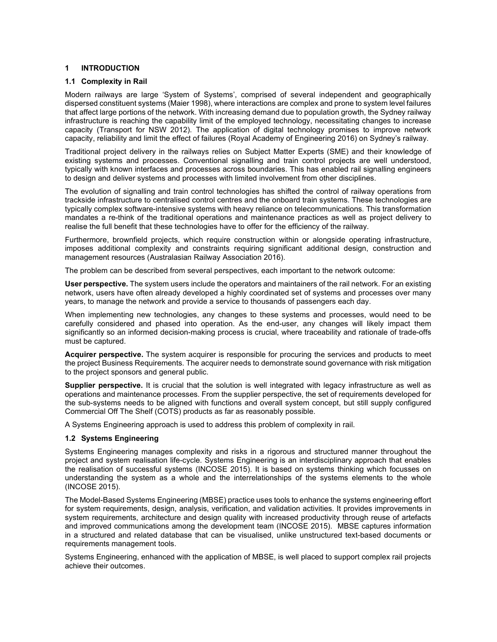## **1 INTRODUCTION**

#### **1.1 Complexity in Rail**

Modern railways are large 'System of Systems', comprised of several independent and geographically dispersed constituent systems (Maier 1998), where interactions are complex and prone to system level failures that affect large portions of the network. With increasing demand due to population growth, the Sydney railway infrastructure is reaching the capability limit of the employed technology, necessitating changes to increase capacity (Transport for NSW 2012). The application of digital technology promises to improve network capacity, reliability and limit the effect of failures (Royal Academy of Engineering 2016) on Sydney's railway.

Traditional project delivery in the railways relies on Subject Matter Experts (SME) and their knowledge of existing systems and processes. Conventional signalling and train control projects are well understood, typically with known interfaces and processes across boundaries. This has enabled rail signalling engineers to design and deliver systems and processes with limited involvement from other disciplines.

The evolution of signalling and train control technologies has shifted the control of railway operations from trackside infrastructure to centralised control centres and the onboard train systems. These technologies are typically complex software-intensive systems with heavy reliance on telecommunications. This transformation mandates a re-think of the traditional operations and maintenance practices as well as project delivery to realise the full benefit that these technologies have to offer for the efficiency of the railway.

Furthermore, brownfield projects, which require construction within or alongside operating infrastructure, imposes additional complexity and constraints requiring significant additional design, construction and management resources (Australasian Railway Association 2016).

The problem can be described from several perspectives, each important to the network outcome:

**User perspective.** The system users include the operators and maintainers of the rail network. For an existing network, users have often already developed a highly coordinated set of systems and processes over many years, to manage the network and provide a service to thousands of passengers each day.

When implementing new technologies, any changes to these systems and processes, would need to be carefully considered and phased into operation. As the end-user, any changes will likely impact them significantly so an informed decision-making process is crucial, where traceability and rationale of trade-offs must be captured.

**Acquirer perspective.** The system acquirer is responsible for procuring the services and products to meet the project Business Requirements. The acquirer needs to demonstrate sound governance with risk mitigation to the project sponsors and general public.

**Supplier perspective.** It is crucial that the solution is well integrated with legacy infrastructure as well as operations and maintenance processes. From the supplier perspective, the set of requirements developed for the sub-systems needs to be aligned with functions and overall system concept, but still supply configured Commercial Off The Shelf (COTS) products as far as reasonably possible.

A Systems Engineering approach is used to address this problem of complexity in rail.

#### **1.2 Systems Engineering**

Systems Engineering manages complexity and risks in a rigorous and structured manner throughout the project and system realisation life-cycle. Systems Engineering is an interdisciplinary approach that enables the realisation of successful systems (INCOSE 2015). It is based on systems thinking which focusses on understanding the system as a whole and the interrelationships of the systems elements to the whole (INCOSE 2015).

The Model-Based Systems Engineering (MBSE) practice uses tools to enhance the systems engineering effort for system requirements, design, analysis, verification, and validation activities. It provides improvements in system requirements, architecture and design quality with increased productivity through reuse of artefacts and improved communications among the development team (INCOSE 2015). MBSE captures information in a structured and related database that can be visualised, unlike unstructured text-based documents or requirements management tools.

Systems Engineering, enhanced with the application of MBSE, is well placed to support complex rail projects achieve their outcomes.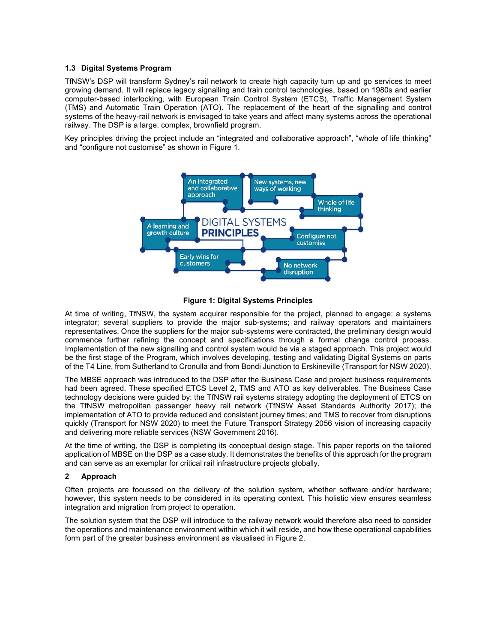#### **1.3 Digital Systems Program**

TfNSW's DSP will transform Sydney's rail network to create high capacity turn up and go services to meet growing demand. It will replace legacy signalling and train control technologies, based on 1980s and earlier computer-based interlocking, with European Train Control System (ETCS), Traffic Management System (TMS) and Automatic Train Operation (ATO). The replacement of the heart of the signalling and control systems of the heavy-rail network is envisaged to take years and affect many systems across the operational railway. The DSP is a large, complex, brownfield program.

Key principles driving the project include an "integrated and collaborative approach", "whole of life thinking" and "configure not customise" as shown in Figure 1.





At time of writing, TfNSW, the system acquirer responsible for the project, planned to engage: a systems integrator; several suppliers to provide the major sub-systems; and railway operators and maintainers representatives. Once the suppliers for the major sub-systems were contracted, the preliminary design would commence further refining the concept and specifications through a formal change control process. Implementation of the new signalling and control system would be via a staged approach. This project would be the first stage of the Program, which involves developing, testing and validating Digital Systems on parts of the T4 Line, from Sutherland to Cronulla and from Bondi Junction to Erskineville (Transport for NSW 2020).

The MBSE approach was introduced to the DSP after the Business Case and project business requirements had been agreed. These specified ETCS Level 2, TMS and ATO as key deliverables. The Business Case technology decisions were guided by: the TfNSW rail systems strategy adopting the deployment of ETCS on the TfNSW metropolitan passenger heavy rail network (TfNSW Asset Standards Authority 2017); the implementation of ATO to provide reduced and consistent journey times; and TMS to recover from disruptions quickly (Transport for NSW 2020) to meet the Future Transport Strategy 2056 vision of increasing capacity and delivering more reliable services (NSW Government 2016).

At the time of writing, the DSP is completing its conceptual design stage. This paper reports on the tailored application of MBSE on the DSP as a case study. It demonstrates the benefits of this approach for the program and can serve as an exemplar for critical rail infrastructure projects globally.

# **2 Approach**

Often projects are focussed on the delivery of the solution system, whether software and/or hardware; however, this system needs to be considered in its operating context. This holistic view ensures seamless integration and migration from project to operation.

The solution system that the DSP will introduce to the railway network would therefore also need to consider the operations and maintenance environment within which it will reside, and how these operational capabilities form part of the greater business environment as visualised in Figure 2.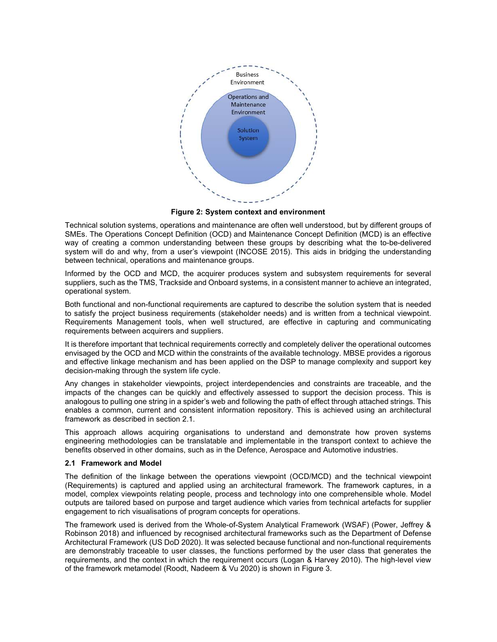

**Figure 2: System context and environment** 

Technical solution systems, operations and maintenance are often well understood, but by different groups of SMEs. The Operations Concept Definition (OCD) and Maintenance Concept Definition (MCD) is an effective way of creating a common understanding between these groups by describing what the to-be-delivered system will do and why, from a user's viewpoint (INCOSE 2015). This aids in bridging the understanding between technical, operations and maintenance groups.

Informed by the OCD and MCD, the acquirer produces system and subsystem requirements for several suppliers, such as the TMS, Trackside and Onboard systems, in a consistent manner to achieve an integrated, operational system.

Both functional and non-functional requirements are captured to describe the solution system that is needed to satisfy the project business requirements (stakeholder needs) and is written from a technical viewpoint. Requirements Management tools, when well structured, are effective in capturing and communicating requirements between acquirers and suppliers.

It is therefore important that technical requirements correctly and completely deliver the operational outcomes envisaged by the OCD and MCD within the constraints of the available technology. MBSE provides a rigorous and effective linkage mechanism and has been applied on the DSP to manage complexity and support key decision-making through the system life cycle.

Any changes in stakeholder viewpoints, project interdependencies and constraints are traceable, and the impacts of the changes can be quickly and effectively assessed to support the decision process. This is analogous to pulling one string in a spider's web and following the path of effect through attached strings. This enables a common, current and consistent information repository. This is achieved using an architectural framework as described in section 2.1.

This approach allows acquiring organisations to understand and demonstrate how proven systems engineering methodologies can be translatable and implementable in the transport context to achieve the benefits observed in other domains, such as in the Defence, Aerospace and Automotive industries.

#### **2.1 Framework and Model**

The definition of the linkage between the operations viewpoint (OCD/MCD) and the technical viewpoint (Requirements) is captured and applied using an architectural framework. The framework captures, in a model, complex viewpoints relating people, process and technology into one comprehensible whole. Model outputs are tailored based on purpose and target audience which varies from technical artefacts for supplier engagement to rich visualisations of program concepts for operations.

The framework used is derived from the Whole-of-System Analytical Framework (WSAF) (Power, Jeffrey & Robinson 2018) and influenced by recognised architectural frameworks such as the Department of Defense Architectural Framework (US DoD 2020). It was selected because functional and non-functional requirements are demonstrably traceable to user classes, the functions performed by the user class that generates the requirements, and the context in which the requirement occurs (Logan & Harvey 2010). The high-level view of the framework metamodel (Roodt, Nadeem & Vu 2020) is shown in Figure 3.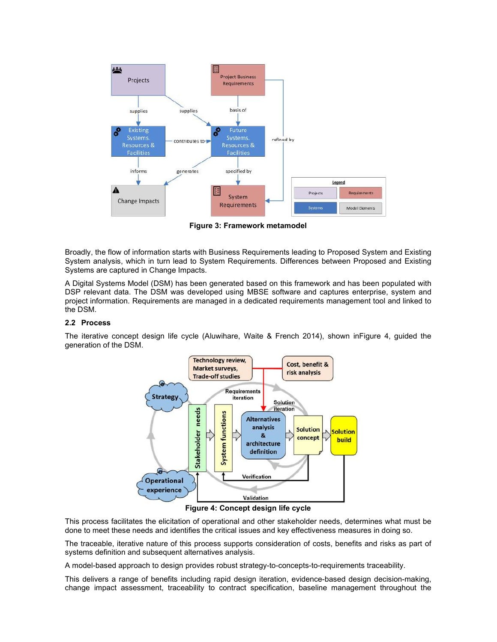

**Figure 3: Framework metamodel** 

Broadly, the flow of information starts with Business Requirements leading to Proposed System and Existing System analysis, which in turn lead to System Requirements. Differences between Proposed and Existing Systems are captured in Change Impacts.

A Digital Systems Model (DSM) has been generated based on this framework and has been populated with DSP relevant data. The DSM was developed using MBSE software and captures enterprise, system and project information. Requirements are managed in a dedicated requirements management tool and linked to the DSM.

## **2.2 Process**

The iterative concept design life cycle (Aluwihare, Waite & French 2014), shown inFigure 4, guided the generation of the DSM.



**Figure 4: Concept design life cycle** 

This process facilitates the elicitation of operational and other stakeholder needs, determines what must be done to meet these needs and identifies the critical issues and key effectiveness measures in doing so.

The traceable, iterative nature of this process supports consideration of costs, benefits and risks as part of systems definition and subsequent alternatives analysis.

A model-based approach to design provides robust strategy-to-concepts-to-requirements traceability.

This delivers a range of benefits including rapid design iteration, evidence-based design decision-making, change impact assessment, traceability to contract specification, baseline management throughout the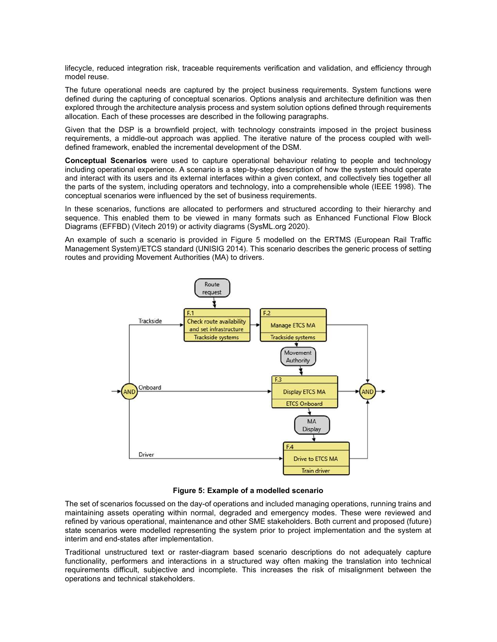lifecycle, reduced integration risk, traceable requirements verification and validation, and efficiency through model reuse.

The future operational needs are captured by the project business requirements. System functions were defined during the capturing of conceptual scenarios. Options analysis and architecture definition was then explored through the architecture analysis process and system solution options defined through requirements allocation. Each of these processes are described in the following paragraphs.

Given that the DSP is a brownfield project, with technology constraints imposed in the project business requirements, a middle-out approach was applied. The iterative nature of the process coupled with welldefined framework, enabled the incremental development of the DSM.

**Conceptual Scenarios** were used to capture operational behaviour relating to people and technology including operational experience. A scenario is a step-by-step description of how the system should operate and interact with its users and its external interfaces within a given context, and collectively ties together all the parts of the system, including operators and technology, into a comprehensible whole (IEEE 1998). The conceptual scenarios were influenced by the set of business requirements.

In these scenarios, functions are allocated to performers and structured according to their hierarchy and sequence. This enabled them to be viewed in many formats such as Enhanced Functional Flow Block Diagrams (EFFBD) (Vitech 2019) or activity diagrams (SysML.org 2020).

An example of such a scenario is provided in Figure 5 modelled on the ERTMS (European Rail Traffic Management System)/ETCS standard (UNISIG 2014). This scenario describes the generic process of setting routes and providing Movement Authorities (MA) to drivers.



**Figure 5: Example of a modelled scenario** 

The set of scenarios focussed on the day-of operations and included managing operations, running trains and maintaining assets operating within normal, degraded and emergency modes. These were reviewed and refined by various operational, maintenance and other SME stakeholders. Both current and proposed (future) state scenarios were modelled representing the system prior to project implementation and the system at interim and end-states after implementation.

Traditional unstructured text or raster-diagram based scenario descriptions do not adequately capture functionality, performers and interactions in a structured way often making the translation into technical requirements difficult, subjective and incomplete. This increases the risk of misalignment between the operations and technical stakeholders.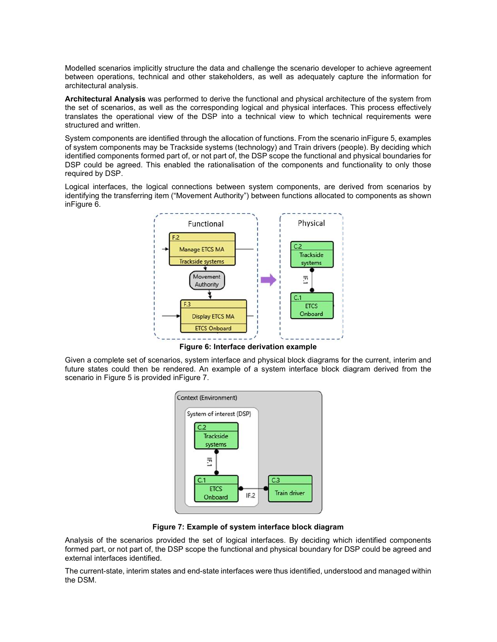Modelled scenarios implicitly structure the data and challenge the scenario developer to achieve agreement between operations, technical and other stakeholders, as well as adequately capture the information for architectural analysis.

**Architectural Analysis** was performed to derive the functional and physical architecture of the system from the set of scenarios, as well as the corresponding logical and physical interfaces. This process effectively translates the operational view of the DSP into a technical view to which technical requirements were structured and written.

System components are identified through the allocation of functions. From the scenario inFigure 5, examples of system components may be Trackside systems (technology) and Train drivers (people). By deciding which identified components formed part of, or not part of, the DSP scope the functional and physical boundaries for DSP could be agreed. This enabled the rationalisation of the components and functionality to only those required by DSP.

Logical interfaces, the logical connections between system components, are derived from scenarios by identifying the transferring item ("Movement Authority") between functions allocated to components as shown inFigure 6.



**Figure 6: Interface derivation example** 

Given a complete set of scenarios, system interface and physical block diagrams for the current, interim and future states could then be rendered. An example of a system interface block diagram derived from the scenario in Figure 5 is provided inFigure 7.

| System of interest (DSP) |     |
|--------------------------|-----|
| C.2                      |     |
| Trackside<br>systems     |     |
|                          |     |
| ۳                        |     |
| C.1                      | C.3 |
|                          |     |

**Figure 7: Example of system interface block diagram**

Analysis of the scenarios provided the set of logical interfaces. By deciding which identified components formed part, or not part of, the DSP scope the functional and physical boundary for DSP could be agreed and external interfaces identified.

The current-state, interim states and end-state interfaces were thus identified, understood and managed within the DSM.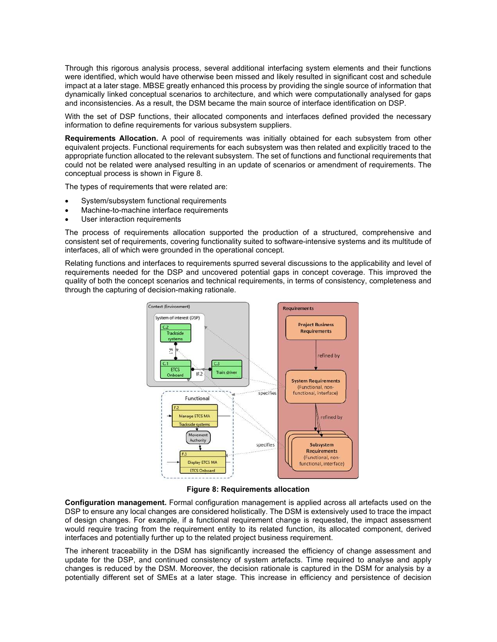Through this rigorous analysis process, several additional interfacing system elements and their functions were identified, which would have otherwise been missed and likely resulted in significant cost and schedule impact at a later stage. MBSE greatly enhanced this process by providing the single source of information that dynamically linked conceptual scenarios to architecture, and which were computationally analysed for gaps and inconsistencies. As a result, the DSM became the main source of interface identification on DSP.

With the set of DSP functions, their allocated components and interfaces defined provided the necessary information to define requirements for various subsystem suppliers.

**Requirements Allocation.** A pool of requirements was initially obtained for each subsystem from other equivalent projects. Functional requirements for each subsystem was then related and explicitly traced to the appropriate function allocated to the relevant subsystem. The set of functions and functional requirements that could not be related were analysed resulting in an update of scenarios or amendment of requirements. The conceptual process is shown in Figure 8.

The types of requirements that were related are:

- System/subsystem functional requirements
- Machine-to-machine interface requirements
- User interaction requirements

The process of requirements allocation supported the production of a structured, comprehensive and consistent set of requirements, covering functionality suited to software-intensive systems and its multitude of interfaces, all of which were grounded in the operational concept.

Relating functions and interfaces to requirements spurred several discussions to the applicability and level of requirements needed for the DSP and uncovered potential gaps in concept coverage. This improved the quality of both the concept scenarios and technical requirements, in terms of consistency, completeness and through the capturing of decision-making rationale.



**Figure 8: Requirements allocation** 

**Configuration management.** Formal configuration management is applied across all artefacts used on the DSP to ensure any local changes are considered holistically. The DSM is extensively used to trace the impact of design changes. For example, if a functional requirement change is requested, the impact assessment would require tracing from the requirement entity to its related function, its allocated component, derived interfaces and potentially further up to the related project business requirement.

The inherent traceability in the DSM has significantly increased the efficiency of change assessment and update for the DSP, and continued consistency of system artefacts. Time required to analyse and apply changes is reduced by the DSM. Moreover, the decision rationale is captured in the DSM for analysis by a potentially different set of SMEs at a later stage. This increase in efficiency and persistence of decision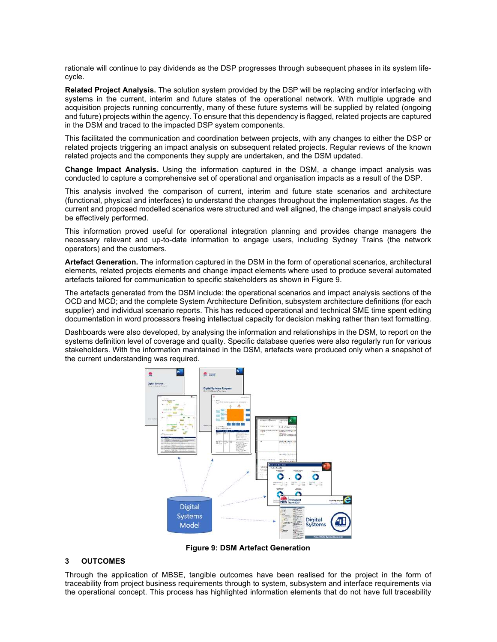rationale will continue to pay dividends as the DSP progresses through subsequent phases in its system lifecycle.

**Related Project Analysis.** The solution system provided by the DSP will be replacing and/or interfacing with systems in the current, interim and future states of the operational network. With multiple upgrade and acquisition projects running concurrently, many of these future systems will be supplied by related (ongoing and future) projects within the agency. To ensure that this dependency is flagged, related projects are captured in the DSM and traced to the impacted DSP system components.

This facilitated the communication and coordination between projects, with any changes to either the DSP or related projects triggering an impact analysis on subsequent related projects. Regular reviews of the known related projects and the components they supply are undertaken, and the DSM updated.

**Change Impact Analysis.** Using the information captured in the DSM, a change impact analysis was conducted to capture a comprehensive set of operational and organisation impacts as a result of the DSP.

This analysis involved the comparison of current, interim and future state scenarios and architecture (functional, physical and interfaces) to understand the changes throughout the implementation stages. As the current and proposed modelled scenarios were structured and well aligned, the change impact analysis could be effectively performed.

This information proved useful for operational integration planning and provides change managers the necessary relevant and up-to-date information to engage users, including Sydney Trains (the network operators) and the customers.

**Artefact Generation.** The information captured in the DSM in the form of operational scenarios, architectural elements, related projects elements and change impact elements where used to produce several automated artefacts tailored for communication to specific stakeholders as shown in Figure 9.

The artefacts generated from the DSM include: the operational scenarios and impact analysis sections of the OCD and MCD; and the complete System Architecture Definition, subsystem architecture definitions (for each supplier) and individual scenario reports. This has reduced operational and technical SME time spent editing documentation in word processors freeing intellectual capacity for decision making rather than text formatting.

Dashboards were also developed, by analysing the information and relationships in the DSM, to report on the systems definition level of coverage and quality. Specific database queries were also regularly run for various stakeholders. With the information maintained in the DSM, artefacts were produced only when a snapshot of the current understanding was required.



**Figure 9: DSM Artefact Generation** 

#### **3 OUTCOMES**

Through the application of MBSE, tangible outcomes have been realised for the project in the form of traceability from project business requirements through to system, subsystem and interface requirements via the operational concept. This process has highlighted information elements that do not have full traceability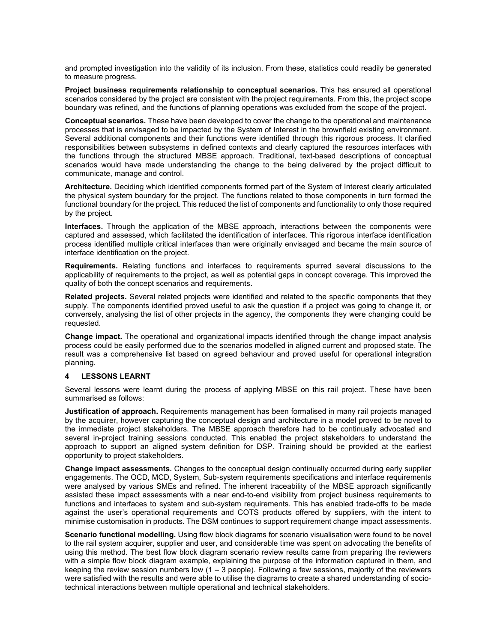and prompted investigation into the validity of its inclusion. From these, statistics could readily be generated to measure progress.

**Project business requirements relationship to conceptual scenarios.** This has ensured all operational scenarios considered by the project are consistent with the project requirements. From this, the project scope boundary was refined, and the functions of planning operations was excluded from the scope of the project.

**Conceptual scenarios.** These have been developed to cover the change to the operational and maintenance processes that is envisaged to be impacted by the System of Interest in the brownfield existing environment. Several additional components and their functions were identified through this rigorous process. It clarified responsibilities between subsystems in defined contexts and clearly captured the resources interfaces with the functions through the structured MBSE approach. Traditional, text-based descriptions of conceptual scenarios would have made understanding the change to the being delivered by the project difficult to communicate, manage and control.

**Architecture.** Deciding which identified components formed part of the System of Interest clearly articulated the physical system boundary for the project. The functions related to those components in turn formed the functional boundary for the project. This reduced the list of components and functionality to only those required by the project.

**Interfaces.** Through the application of the MBSE approach, interactions between the components were captured and assessed, which facilitated the identification of interfaces. This rigorous interface identification process identified multiple critical interfaces than were originally envisaged and became the main source of interface identification on the project.

**Requirements.** Relating functions and interfaces to requirements spurred several discussions to the applicability of requirements to the project, as well as potential gaps in concept coverage. This improved the quality of both the concept scenarios and requirements.

**Related projects.** Several related projects were identified and related to the specific components that they supply. The components identified proved useful to ask the question if a project was going to change it, or conversely, analysing the list of other projects in the agency, the components they were changing could be requested.

**Change impact.** The operational and organizational impacts identified through the change impact analysis process could be easily performed due to the scenarios modelled in aligned current and proposed state. The result was a comprehensive list based on agreed behaviour and proved useful for operational integration planning.

#### **4 LESSONS LEARNT**

Several lessons were learnt during the process of applying MBSE on this rail project. These have been summarised as follows:

**Justification of approach.** Requirements management has been formalised in many rail projects managed by the acquirer, however capturing the conceptual design and architecture in a model proved to be novel to the immediate project stakeholders. The MBSE approach therefore had to be continually advocated and several in-project training sessions conducted. This enabled the project stakeholders to understand the approach to support an aligned system definition for DSP. Training should be provided at the earliest opportunity to project stakeholders.

**Change impact assessments.** Changes to the conceptual design continually occurred during early supplier engagements. The OCD, MCD, System, Sub-system requirements specifications and interface requirements were analysed by various SMEs and refined. The inherent traceability of the MBSE approach significantly assisted these impact assessments with a near end-to-end visibility from project business requirements to functions and interfaces to system and sub-system requirements. This has enabled trade-offs to be made against the user's operational requirements and COTS products offered by suppliers, with the intent to minimise customisation in products. The DSM continues to support requirement change impact assessments.

**Scenario functional modelling.** Using flow block diagrams for scenario visualisation were found to be novel to the rail system acquirer, supplier and user, and considerable time was spent on advocating the benefits of using this method. The best flow block diagram scenario review results came from preparing the reviewers with a simple flow block diagram example, explaining the purpose of the information captured in them, and keeping the review session numbers low  $(1 - 3$  people). Following a few sessions, majority of the reviewers were satisfied with the results and were able to utilise the diagrams to create a shared understanding of sociotechnical interactions between multiple operational and technical stakeholders.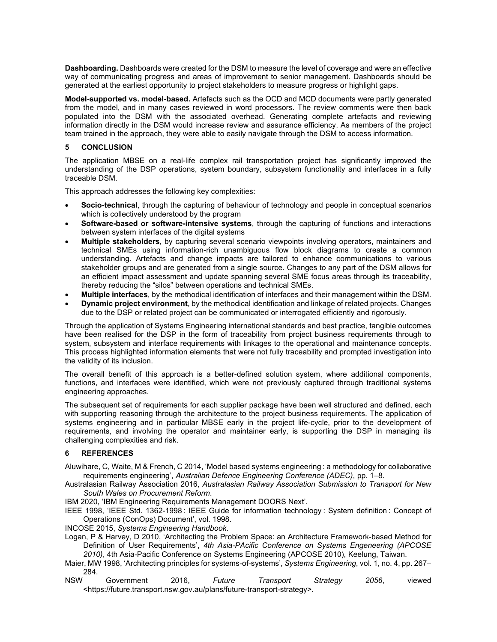**Dashboarding.** Dashboards were created for the DSM to measure the level of coverage and were an effective way of communicating progress and areas of improvement to senior management. Dashboards should be generated at the earliest opportunity to project stakeholders to measure progress or highlight gaps.

**Model-supported vs. model-based.** Artefacts such as the OCD and MCD documents were partly generated from the model, and in many cases reviewed in word processors. The review comments were then back populated into the DSM with the associated overhead. Generating complete artefacts and reviewing information directly in the DSM would increase review and assurance efficiency. As members of the project team trained in the approach, they were able to easily navigate through the DSM to access information.

# **5 CONCLUSION**

The application MBSE on a real-life complex rail transportation project has significantly improved the understanding of the DSP operations, system boundary, subsystem functionality and interfaces in a fully traceable DSM.

This approach addresses the following key complexities:

- **Socio-technical**, through the capturing of behaviour of technology and people in conceptual scenarios which is collectively understood by the program
- **Software-based or software-intensive systems**, through the capturing of functions and interactions between system interfaces of the digital systems
- **Multiple stakeholders**, by capturing several scenario viewpoints involving operators, maintainers and technical SMEs using information-rich unambiguous flow block diagrams to create a common understanding. Artefacts and change impacts are tailored to enhance communications to various stakeholder groups and are generated from a single source. Changes to any part of the DSM allows for an efficient impact assessment and update spanning several SME focus areas through its traceability, thereby reducing the "silos" between operations and technical SMEs.
- **Multiple interfaces**, by the methodical identification of interfaces and their management within the DSM.
- **Dynamic project environment**, by the methodical identification and linkage of related projects. Changes due to the DSP or related project can be communicated or interrogated efficiently and rigorously.

Through the application of Systems Engineering international standards and best practice, tangible outcomes have been realised for the DSP in the form of traceability from project business requirements through to system, subsystem and interface requirements with linkages to the operational and maintenance concepts. This process highlighted information elements that were not fully traceability and prompted investigation into the validity of its inclusion.

The overall benefit of this approach is a better-defined solution system, where additional components, functions, and interfaces were identified, which were not previously captured through traditional systems engineering approaches.

The subsequent set of requirements for each supplier package have been well structured and defined, each with supporting reasoning through the architecture to the project business requirements. The application of systems engineering and in particular MBSE early in the project life-cycle, prior to the development of requirements, and involving the operator and maintainer early, is supporting the DSP in managing its challenging complexities and risk.

# **6 REFERENCES**

- Aluwihare, C, Waite, M & French, C 2014, 'Model based systems engineering : a methodology for collaborative requirements engineering', *Australian Defence Engineering Conference (ADEC)*, pp. 1–8.
- Australasian Railway Association 2016, *Australasian Railway Association Submission to Transport for New South Wales on Procurement Reform*.
- IBM 2020, 'IBM Engineering Requirements Management DOORS Next'.
- IEEE 1998, 'IEEE Std. 1362-1998 : IEEE Guide for information technology : System definition : Concept of Operations (ConOps) Document', vol. 1998.

INCOSE 2015, *Systems Engineering Handbook*.

Logan, P & Harvey, D 2010, 'Architecting the Problem Space: an Architecture Framework-based Method for Definition of User Requirements', *4th Asia-PAcific Conference on Systems Engeneering (APCOSE 2010)*, 4th Asia-Pacific Conference on Systems Engineering (APCOSE 2010), Keelung, Taiwan.

- Maier, MW 1998, 'Architecting principles for systems-of-systems', *Systems Engineering*, vol. 1, no. 4, pp. 267– 284.<br>NSW
- NSW Government 2016, *Future Transport Strategy 2056*, viewed <https://future.transport.nsw.gov.au/plans/future-transport-strategy>.